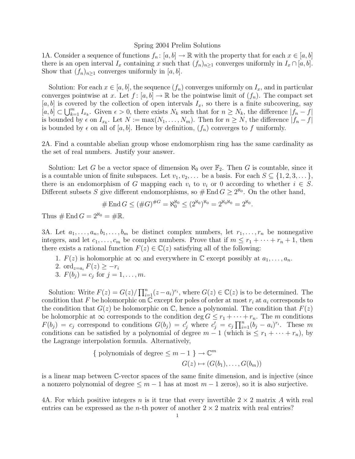## Spring 2004 Prelim Solutions

1A. Consider a sequence of functions  $f_n: [a, b] \to \mathbb{R}$  with the property that for each  $x \in [a, b]$ there is an open interval  $I_x$  containing x such that  $(f_n)_{n\geq 1}$  converges uniformly in  $I_x \cap [a, b]$ . Show that  $(f_n)_{n\geq 1}$  converges uniformly in [a, b].

Solution: For each  $x \in [a, b]$ , the sequence  $(f_n)$  converges uniformly on  $I_x$ , and in particular converges pointwise at x. Let  $f : [a, b] \to \mathbb{R}$  be the pointwise limit of  $(f_n)$ . The compact set  $[a, b]$  is covered by the collection of open intervals  $I_x$ , so there is a finite subcovering, say  $[a, b] \subset \bigcup_{k=1}^m I_{x_k}$ . Given  $\epsilon > 0$ , there exists  $N_k$  such that for  $n \ge N_k$ , the difference  $|f_n - f|$ is bounded by  $\epsilon$  on  $I_{x_k}$ . Let  $N := \max(N_1, \ldots, N_m)$ . Then for  $n \ge N$ , the difference  $|f_n - f|$ is bounded by  $\epsilon$  on all of [a, b]. Hence by definition,  $(f_n)$  converges to f uniformly.

2A. Find a countable abelian group whose endomorphism ring has the same cardinality as the set of real numbers. Justify your answer.

Solution: Let G be a vector space of dimension  $\aleph_0$  over  $\mathbb{F}_2$ . Then G is countable, since it is a countable union of finite subspaces. Let  $v_1, v_2, \ldots$  be a basis. For each  $S \subseteq \{1, 2, 3, \ldots\}$ , there is an endomorphism of G mapping each  $v_i$  to  $v_i$  or 0 according to whether  $i \in S$ . Different subsets S give different endomorphisms, so  $\#$  End  $G \geq 2^{\aleph_0}$ . On the other hand,

$$
\# \operatorname{End} G \le (\#G)^{\#G} = \aleph_0^{\aleph_0} \le (2^{\aleph_0})^{\aleph_0} = 2^{\aleph_0 \aleph_0} = 2^{\aleph_0}.
$$

Thus  $# \text{End } G = 2^{\aleph_0} = \# \mathbb{R}.$ 

3A. Let  $a_1, \ldots, a_n, b_1, \ldots, b_m$  be distinct complex numbers, let  $r_1, \ldots, r_n$  be nonnegative integers, and let  $c_1, \ldots, c_m$  be complex numbers. Prove that if  $m \leq r_1 + \cdots + r_n + 1$ , then there exists a rational function  $F(z) \in \mathbb{C}(z)$  satisfying all of the following:

- 1.  $F(z)$  is holomorphic at  $\infty$  and everywhere in  $\mathbb C$  except possibly at  $a_1, \ldots, a_n$ .
- 2. ord<sub> $z=a_i$ </sub>  $F(z) \geq -r_i$

3. 
$$
F(b_j) = c_j
$$
 for  $j = 1, ..., m$ .

Solution: Write  $F(z) = G(z)/\prod_{i=1}^{n} (z-a_i)^{r_i}$ , where  $G(z) \in \mathbb{C}(z)$  is to be determined. The condition that F be holomorphic on  $\mathbb C$  except for poles of order at most  $r_i$  at  $a_i$  corresponds to the condition that  $G(z)$  be holomorphic on C, hence a polynomial. The condition that  $F(z)$ be holomorphic at  $\infty$  corresponds to the condition deg  $G \leq r_1 + \cdots + r_n$ . The m conditions  $F(b_j) = c_j$  correspond to conditions  $G(b_j) = c_j'$  where  $c_j' = c_j \prod_{i=1}^n (b_j - a_i)^{r_i}$ . These m conditions can be satisfied by a polynomial of degree  $m-1$  (which is  $\leq r_1 + \cdots + r_n$ ), by the Lagrange interpolation formula. Alternatively,

{ polynomials of degree 
$$
\leq m-1
$$
 }  $\to \mathbb{C}^m$   
 $G(z) \mapsto (G(b_1), \dots, G(b_m))$ 

is a linear map between C-vector spaces of the same finite dimension, and is injective (since a nonzero polynomial of degree  $\leq m-1$  has at most  $m-1$  zeros), so it is also surjective.

4A. For which positive integers n is it true that every invertible  $2 \times 2$  matrix A with real entries can be expressed as the *n*-th power of another  $2 \times 2$  matrix with real entries?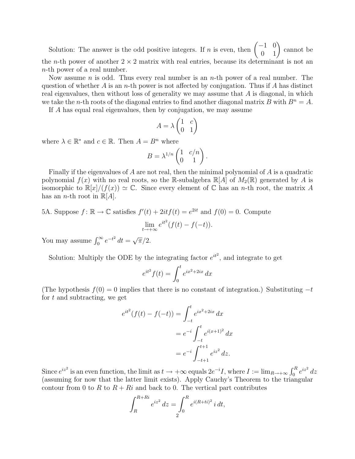Solution: The answer is the odd positive integers. If n is even, then  $\begin{pmatrix} -1 & 0 \\ 0 & 1 \end{pmatrix}$  cannot be the *n*-th power of another  $2 \times 2$  matrix with real entries, because its determinant is not an n-th power of a real number.

Now assume *n* is odd. Thus every real number is an *n*-th power of a real number. The question of whether A is an n-th power is not affected by conjugation. Thus if A has distinct real eigenvalues, then without loss of generality we may assume that A is diagonal, in which we take the *n*-th roots of the diagonal entries to find another diagonal matrix B with  $B^n = A$ .

If A has equal real eigenvalues, then by conjugation, we may assume

$$
A = \lambda \begin{pmatrix} 1 & c \\ 0 & 1 \end{pmatrix}
$$

where  $\lambda \in \mathbb{R}^*$  and  $c \in \mathbb{R}$ . Then  $A = B^n$  where

$$
B = \lambda^{1/n} \begin{pmatrix} 1 & c/n \\ 0 & 1 \end{pmatrix}.
$$

Finally if the eigenvalues of A are not real, then the minimal polynomial of A is a quadratic polynomial  $f(x)$  with no real roots, so the R-subalgebra  $\mathbb{R}[A]$  of  $M_2(\mathbb{R})$  generated by A is isomorphic to  $\mathbb{R}[x]/(f(x)) \simeq \mathbb{C}$ . Since every element of  $\mathbb{C}$  has an *n*-th root, the matrix A has an *n*-th root in  $\mathbb{R}[A]$ .

## 5A. Suppose  $f: \mathbb{R} \to \mathbb{C}$  satisfies  $f'(t) + 2it f(t) = e^{2it}$  and  $f(0) = 0$ . Compute  $\lim_{t\to+\infty}e^{it^2}(f(t)-f(-t)).$

You may assume  $\int_0^\infty e^{-t^2} dt =$ √  $\overline{\pi}/2.$ 

Solution: Multiply the ODE by the integrating factor  $e^{it^2}$ , and integrate to get

$$
e^{it^2} f(t) = \int_0^t e^{ix^2 + 2ix} dx
$$

(The hypothesis  $f(0) = 0$  implies that there is no constant of integration.) Substituting  $-t$ for  $t$  and subtracting, we get

$$
e^{it^2}(f(t) - f(-t)) = \int_{-t}^t e^{ix^2 + 2ix} dx
$$
  
=  $e^{-i} \int_{-t}^t e^{i(x+1)^2} dx$   
=  $e^{-i} \int_{-t+1}^{t+1} e^{iz^2} dz$ .

Since  $e^{iz^2}$  is an even function, the limit as  $t \to +\infty$  equals  $2e^{-i}I$ , where  $I := \lim_{R \to +\infty} \int_0^R e^{iz^2} dz$ (assuming for now that the latter limit exists). Apply Cauchy's Theorem to the triangular contour from 0 to R to  $R + Ri$  and back to 0. The vertical part contributes

$$
\int_{R}^{R+Ri} e^{iz^2} dz = \int_{0}^{R} e^{i(R+ti)^2} i dt,
$$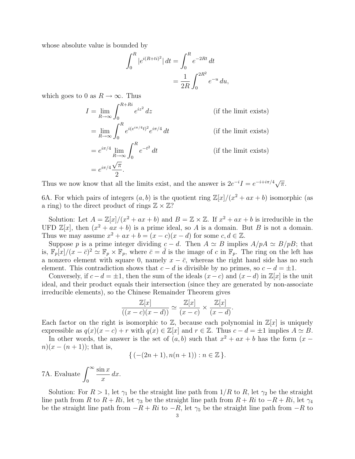whose absolute value is bounded by

$$
\int_0^R |e^{i(R+ti)^2}| \, dt = \int_0^R e^{-2Rt} \, dt
$$

$$
= \frac{1}{2R} \int_0^{2R^2} e^{-u} \, du,
$$

which goes to 0 as  $R \to \infty$ . Thus

$$
I = \lim_{R \to \infty} \int_0^{R+Ri} e^{iz^2} dz
$$
 (if the limit exists)  
=  $\lim_{R \to \infty} \int_0^R e^{i(e^{i\pi/4}t)^2} e^{i\pi/4} dt$  (if the limit exists)  
=  $e^{i\pi/4} \lim_{R \to \infty} \int_0^R e^{-t^2} dt$  (if the limit exists)  
=  $e^{i\pi/4} \frac{\sqrt{\pi}}{2}$ .

Thus we now know that all the limits exist, and the answer is  $2e^{-i}I = e^{-i+i\pi/4}\sqrt{\pi}$ .

6A. For which pairs of integers  $(a, b)$  is the quotient ring  $\mathbb{Z}[x]/(x^2 + ax + b)$  isomorphic (as a ring) to the direct product of rings  $\mathbb{Z} \times \mathbb{Z}$ ?

Solution: Let  $A = \mathbb{Z}[x]/(x^2 + ax + b)$  and  $B = \mathbb{Z} \times \mathbb{Z}$ . If  $x^2 + ax + b$  is irreducible in the UFD  $\mathbb{Z}[x]$ , then  $(x^2 + ax + b)$  is a prime ideal, so A is a domain. But B is not a domain. Thus we may assume  $x^2 + ax + b = (x - c)(x - d)$  for some  $c, d \in \mathbb{Z}$ .

Suppose p is a prime integer dividing  $c - d$ . Then  $A \simeq B$  implies  $A/pA \simeq B/pB$ ; that is,  $\mathbb{F}_p[x]/(x-\bar{c})^2 \simeq \mathbb{F}_p \times \mathbb{F}_p$ , where  $\bar{c} = \bar{d}$  is the image of c in  $\mathbb{F}_p$ . The ring on the left has a nonzero element with square 0, namely  $x - \bar{c}$ , whereas the right hand side has no such element. This contradiction shows that  $c - d$  is divisible by no primes, so  $c - d = \pm 1$ .

Conversely, if  $c-d = \pm 1$ , then the sum of the ideals  $(x-c)$  and  $(x-d)$  in  $\mathbb{Z}[x]$  is the unit ideal, and their product equals their intersection (since they are generated by non-associate irreducible elements), so the Chinese Remainder Theorem gives

$$
\frac{\mathbb{Z}[x]}{((x-c)(x-d))} \simeq \frac{\mathbb{Z}[x]}{(x-c)} \times \frac{\mathbb{Z}[x]}{(x-d)}.
$$

Each factor on the right is isomorphic to  $\mathbb{Z}$ , because each polynomial in  $\mathbb{Z}[x]$  is uniquely expressible as  $q(x)(x - c) + r$  with  $q(x) \in \mathbb{Z}[x]$  and  $r \in \mathbb{Z}$ . Thus  $c - d = \pm 1$  implies  $A \simeq B$ .

In other words, the answer is the set of  $(a, b)$  such that  $x^2 + ax + b$  has the form  $(x - b)$  $n(x-(n+1))$ ; that is,

$$
\{ (-(2n+1), n(n+1)) : n \in \mathbb{Z} \}.
$$

7A. Evaluate  $\int^{\infty}$ 0  $\sin x$  $\overline{x}$  $dx$ .

Solution: For  $R > 1$ , let  $\gamma_1$  be the straight line path from  $1/R$  to R, let  $\gamma_2$  be the straight line path from R to  $R + Ri$ , let  $\gamma_3$  be the straight line path from  $R + Ri$  to  $-R + Ri$ , let  $\gamma_4$ be the straight line path from  $-R + Ri$  to  $-R$ , let  $\gamma_5$  be the straight line path from  $-R$  to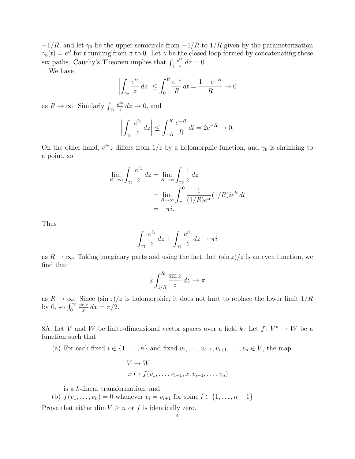$-1/R$ , and let  $\gamma_6$  be the upper semicircle from  $-1/R$  to  $1/R$  given by the parameterization  $\gamma_6(t) = e^{it}$  for t running from  $\pi$  to 0. Let  $\gamma$  be the closed loop formed by concatenating these six paths. Cauchy's Theorem implies that  $\int_{\gamma}$  $e^{iz}$  $\frac{dz}{z} dz = 0.$ 

We have

$$
\left| \int_{\gamma_2} \frac{e^{iz}}{z} dz \right| \le \int_0^R \frac{e^{-t}}{R} dt = \frac{1 - e^{-R}}{R} \to 0
$$

as  $R \to \infty$ . Similarly  $\int_{\gamma_4}$  $e^{iz}$  $\frac{dz}{z}$  dz  $\rightarrow$  0, and

$$
\left| \int_{\gamma_3} \frac{e^{iz}}{z} \, dz \right| \le \int_{-R}^{R} \frac{e^{-R}}{R} \, dt = 2e^{-R} \to 0.
$$

On the other hand,  $e^{iz}z$  differs from  $1/z$  by a holomorphic function, and  $\gamma_6$  is shrinking to a point, so

$$
\lim_{R \to \infty} \int_{\gamma_6} \frac{e^{iz}}{z} dz = \lim_{R \to \infty} \int_{\gamma_6} \frac{1}{z} dz
$$

$$
= \lim_{R \to \infty} \int_{\pi}^{0} \frac{1}{(1/R)e^{it}} (1/R)ie^{it} dt
$$

$$
= -\pi i.
$$

Thus

$$
\int_{\gamma_1} \frac{e^{iz}}{z} \, dz + \int_{\gamma_5} \frac{e^{iz}}{z} \, dz \to \pi i
$$

as  $R \to \infty$ . Taking imaginary parts and using the fact that  $(\sin z)/z$  is an even function, we find that

$$
2\int_{1/R}^{R} \frac{\sin z}{z} \, dz \to \pi
$$

as  $R \to \infty$ . Since  $(\sin z)/z$  is holomorphic, it does not hurt to replace the lower limit  $1/R$ by 0, so  $\int_0^\infty$  $\sin x$  $rac{\ln x}{x} dx = \pi/2.$ 

8A. Let V and W be finite-dimensional vector spaces over a field k. Let  $f: V^n \to W$  be a function such that

(a) For each fixed  $i \in \{1, \ldots, n\}$  and fixed  $v_1, \ldots, v_{i-1}, v_{i+1}, \ldots, v_n \in V$ , the map

$$
V \to W
$$
  

$$
x \mapsto f(v_1, \dots, v_{i-1}, x, v_{i+1}, \dots, v_n)
$$

is a k-linear transformation; and

(b)  $f(v_1, \ldots, v_n) = 0$  whenever  $v_i = v_{i+1}$  for some  $i \in \{1, \ldots, n-1\}$ .

Prove that either dim  $V \geq n$  or f is identically zero.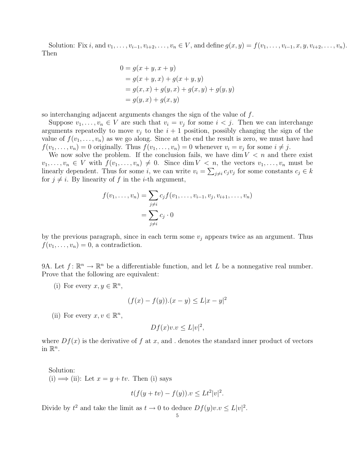Solution: Fix i, and  $v_1, \ldots, v_{i-1}, v_{i+2}, \ldots, v_n \in V$ , and define  $g(x, y) = f(v_1, \ldots, v_{i-1}, x, y, v_{i+2}, \ldots, v_n)$ . Then

$$
0 = g(x + y, x + y)
$$
  
=  $g(x + y, x) + g(x + y, y)$   
=  $g(x, x) + g(y, x) + g(x, y) + g(y, y)$   
=  $g(y, x) + g(x, y)$ 

so interchanging adjacent arguments changes the sign of the value of f.

Suppose  $v_1, \ldots, v_n \in V$  are such that  $v_i = v_j$  for some  $i < j$ . Then we can interchange arguments repeatedly to move  $v_i$  to the  $i + 1$  position, possibly changing the sign of the value of  $f(v_1, \ldots, v_n)$  as we go along. Since at the end the result is zero, we must have had  $f(v_1, \ldots, v_n) = 0$  originally. Thus  $f(v_1, \ldots, v_n) = 0$  whenever  $v_i = v_j$  for some  $i \neq j$ .

We now solve the problem. If the conclusion fails, we have dim  $V < n$  and there exist  $v_1, \ldots, v_n \in V$  with  $f(v_1, \ldots, v_n) \neq 0$ . Since dim  $V \lt n$ , the vectors  $v_1, \ldots, v_n$  must be linearly dependent. Thus for some i, we can write  $v_i = \sum_{j \neq i} c_j v_j$  for some constants  $c_j \in k$ for  $j \neq i$ . By linearity of f in the *i*-th argument,

$$
f(v_1, ..., v_n) = \sum_{j \neq i} c_j f(v_1, ..., v_{i-1}, v_j, v_{i+1}, ..., v_n)
$$
  
= 
$$
\sum_{j \neq i} c_j \cdot 0
$$

by the previous paragraph, since in each term some  $v_j$  appears twice as an argument. Thus  $f(v_1, \ldots, v_n) = 0$ , a contradiction.

9A. Let  $f: \mathbb{R}^n \to \mathbb{R}^n$  be a differentiable function, and let L be a nonnegative real number. Prove that the following are equivalent:

(i) For every  $x, y \in \mathbb{R}^n$ ,

$$
(f(x) - f(y))(x - y) \le L|x - y|^2
$$

(ii) For every  $x, v \in \mathbb{R}^n$ ,

$$
Df(x)v.v \le L|v|^2,
$$

where  $Df(x)$  is the derivative of f at x, and . denotes the standard inner product of vectors in  $\mathbb{R}^n$ .

Solution: (i)  $\implies$  (ii): Let  $x = y + tv$ . Then (i) says

$$
t(f(y+tv)-f(y)).v \le Lt^2|v|^2.
$$

Divide by  $t^2$  and take the limit as  $t \to 0$  to deduce  $Df(y)v.v \leq L|v|^2$ .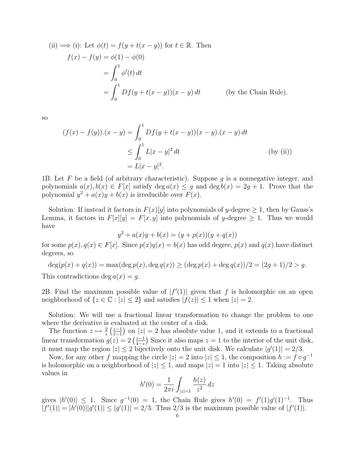(ii) 
$$
\implies
$$
 (i): Let  $\phi(t) = f(y + t(x - y))$  for  $t \in \mathbb{R}$ . Then  
\n
$$
f(x) - f(y) = \phi(1) - \phi(0)
$$
\n
$$
= \int_0^1 \phi'(t) dt
$$
\n
$$
= \int_0^1 Df(y + t(x - y))(x - y) dt \qquad \text{(by the Chain Rule)}.
$$

so

$$
(f(x) - f(y)) \cdot (x - y) = \int_0^1 Df(y + t(x - y))(x - y) \cdot (x - y) dt
$$
  
\n
$$
\leq \int_0^1 L|x - y|^2 dt
$$
 (by (ii))  
\n
$$
= L|x - y|^2.
$$

1B. Let F be a field (of arbitrary characteristic). Suppose  $g$  is a nonnegative integer, and polynomials  $a(x), b(x) \in F[x]$  satisfy  $\deg a(x) \leq g$  and  $\deg b(x) = 2g + 1$ . Prove that the polynomial  $y^2 + a(x)y + b(x)$  is irreducible over  $F(x)$ .

Solution: If instead it factors in  $F(x)[y]$  into polynomials of y-degree  $\geq 1$ , then by Gauss's Lemma, it factors in  $F[x][y] = F[x, y]$  into polynomials of y-degree  $\geq 1$ . Thus we would have

$$
y^{2} + a(x)y + b(x) = (y + p(x))(y + q(x))
$$

for some  $p(x), q(x) \in F[x]$ . Since  $p(x)q(x) = b(x)$  has odd degree,  $p(x)$  and  $q(x)$  have distinct degrees, so

$$
\deg(p(x) + q(x)) = \max(\deg p(x), \deg q(x)) \ge (\deg p(x) + \deg q(x))/2 = (2g + 1)/2 > g.
$$

This contradictions deg  $a(x) = g$ .

2B. Find the maximum possible value of  $|f'(1)|$  given that f is holomorphic on an open neighborhood of  $\{z \in \mathbb{C} : |z| \leq 2\}$  and satisfies  $|f(z)| \leq 1$  when  $|z| = 2$ .

Solution: We will use a fractional linear transformation to change the problem to one where the derivative is evaluated at the center of a disk.

The function  $z \mapsto \frac{2}{z} \left( \frac{z-1}{\overline{z}-1} \right)$  $\left(\frac{z-1}{z-1}\right)$  on  $|z|=2$  has absolute value 1, and it extends to a fractional linear transformation  $g(z) = 2 \left( \frac{z-1}{4-z} \right)$  $\frac{z-1}{4-z}$ ) Since it also maps  $z=1$  to the interior of the unit disk, it must map the region  $|z| \leq 2$  bijectively onto the unit disk. We calculate  $|g'(1)| = 2/3$ .

Now, for any other f mapping the circle  $|z| = 2$  into  $|z| \leq 1$ , the composition  $h := f \circ g^{-1}$ is holomorphic on a neighborhood of  $|z| \leq 1$ , and maps  $|z| = 1$  into  $|z| \leq 1$ . Taking absolute values in

$$
h'(0) = \frac{1}{2\pi i} \int_{|z|=1} \frac{h(z)}{z^2} dz
$$

gives  $|h'(0)| \leq 1$ . Since  $g^{-1}(0) = 1$ , the Chain Rule gives  $h'(0) = f'(1)g'(1)^{-1}$ . Thus  $|f'(1)| = |h'(0)||g'(1)| \le |g'(1)| = 2/3$ . Thus 2/3 is the maximum possible value of  $|f'(1)|$ .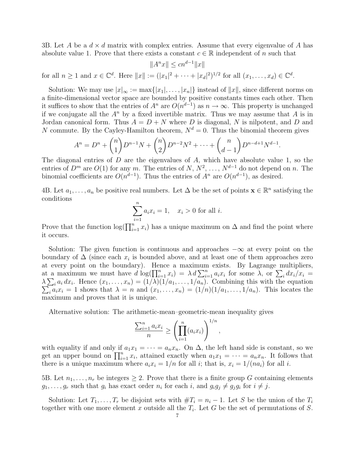3B. Let A be a  $d \times d$  matrix with complex entries. Assume that every eigenvalue of A has absolute value 1. Prove that there exists a constant  $c \in \mathbb{R}$  independent of n such that

$$
||A^n x|| \le cn^{d-1} ||x||
$$
  
for all  $n \ge 1$  and  $x \in \mathbb{C}^d$ . Here  $||x|| := (|x_1|^2 + \dots + |x_d|^2)^{1/2}$  for all  $(x_1, \dots, x_d) \in \mathbb{C}^d$ .

Solution: We may use  $|x|_{\infty} := \max\{|x_1|, \ldots, |x_n|\}$  instead of  $||x||$ , since different norms on a finite-dimensional vector space are bounded by positive constants times each other. Then it suffices to show that the entries of  $A^n$  are  $O(n^{d-1})$  as  $n \to \infty$ . This property is unchanged if we conjugate all the  $A^n$  by a fixed invertible matrix. Thus we may assume that A is in Jordan canonical form. Thus  $A = D + N$  where D is diagonal, N is nilpotent, and D and N commute. By the Cayley-Hamilton theorem,  $N^d = 0$ . Thus the binomial theorem gives

$$
A^{n} = D^{n} + {n \choose 1} D^{n-1} N + {n \choose 2} D^{n-2} N^{2} + \dots + {n \choose d-1} D^{n-d+1} N^{d-1}.
$$

The diagonal entries of  $D$  are the eigenvalues of  $A$ , which have absolute value 1, so the entries of  $D^m$  are  $O(1)$  for any m. The entries of  $N, N^2, \ldots, N^{d-1}$  do not depend on n. The binomial coefficients are  $O(n^{d-1})$ . Thus the entries of  $A^n$  are  $O(n^{d-1})$ , as desired.

4B. Let  $a_1, \ldots, a_n$  be positive real numbers. Let  $\Delta$  be the set of points  $\mathbf{x} \in \mathbb{R}^n$  satisfying the conditions

$$
\sum_{i=1}^{n} a_i x_i = 1, \quad x_i > 0 \text{ for all } i.
$$

Prove that the function  $\log(\prod_{i=1}^n x_i)$  has a unique maximum on  $\Delta$  and find the point where it occurs.

Solution: The given function is continuous and approaches  $-\infty$  at every point on the boundary of  $\Delta$  (since each  $x_i$  is bounded above, and at least one of them approaches zero at every point on the boundary). Hence a maximum exists. By Lagrange multipliers, at a maximum we must have  $d \log(\prod_{i=1}^n x_i) = \lambda d \sum_{i=1}^n a_i x_i$  for some  $\lambda$ , or  $\sum_i dx_i/x_i =$  $\lambda \sum_i a_i dx_i$ . Hence  $(x_1, \ldots, x_n) = (1/\lambda)(1/a_1, \ldots, 1/a_n)$ . Combining this with the equation  $\sum_i a_i x_i = 1$  shows that  $\lambda = n$  and  $(x_1, \ldots, x_n) = (1/n)(1/a_1, \ldots, 1/a_n)$ . This locates the maximum and proves that it is unique.

Alternative solution: The arithmetic-mean–geometric-mean inequality gives

$$
\frac{\sum_{i=1}^n a_i x_i}{n} \ge \left(\prod_{i=1}^n (a_i x_i)\right)^{1/n},
$$

with equality if and only if  $a_1x_1 = \cdots = a_nx_n$ . On  $\Delta$ , the left hand side is constant, so we get an upper bound on  $\prod_{i=1}^n x_i$ , attained exactly when  $a_1x_1 = \cdots = a_nx_n$ . It follows that there is a unique maximum where  $a_i x_i = 1/n$  for all i; that is,  $x_i = 1/(na_i)$  for all i.

5B. Let  $n_1, \ldots, n_r$  be integers  $\geq 2$ . Prove that there is a finite group G containing elements  $g_1, \ldots, g_r$  such that  $g_i$  has exact order  $n_i$  for each i, and  $g_i g_j \neq g_j g_i$  for  $i \neq j$ .

Solution: Let  $T_1, \ldots, T_r$  be disjoint sets with  $\#T_i = n_i - 1$ . Let S be the union of the  $T_i$ together with one more element x outside all the  $T_i$ . Let G be the set of permutations of S.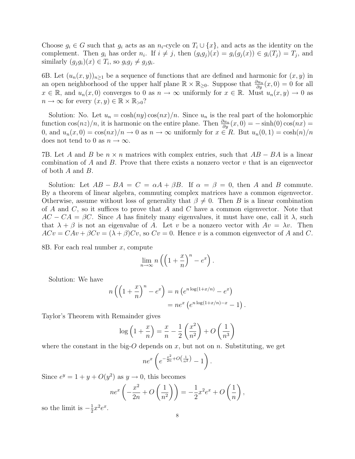Choose  $g_i \in G$  such that  $g_i$  acts as an  $n_i$ -cycle on  $T_i \cup \{x\}$ , and acts as the identity on the complement. Then  $g_i$  has order  $n_i$ . If  $i \neq j$ , then  $(g_ig_j)(x) = g_i(g_j(x)) \in g_i(T_j) = T_j$ , and similarly  $(g_j g_i)(x) \in T_i$ , so  $g_i g_j \neq g_j g_i$ .

6B. Let  $(u_n(x, y))_{n\geq 1}$  be a sequence of functions that are defined and harmonic for  $(x, y)$  in an open neighborhood of the upper half plane  $\mathbb{R} \times \mathbb{R}_{\geq 0}$ . Suppose that  $\frac{\partial u_n}{\partial y}(x,0) = 0$  for all  $x \in \mathbb{R}$ , and  $u_n(x, 0)$  converges to 0 as  $n \to \infty$  uniformly for  $x \in \mathbb{R}$ . Must  $u_n(x, y) \to 0$  as  $n \to \infty$  for every  $(x, y) \in \mathbb{R} \times \mathbb{R}_{>0}$ ?

Solution: No. Let  $u_n = \cosh(ny) \cos(nx)/n$ . Since  $u_n$  is the real part of the holomorphic function  $\cos(nz)/n$ , it is harmonic on the entire plane. Then  $\frac{\partial u_n}{\partial y}(x,0) = -\sinh(0)\cos(nx) =$ 0, and  $u_n(x,0) = \cos(nx)/n \to 0$  as  $n \to \infty$  uniformly for  $x \in R$ . But  $u_n(0,1) = \cosh(n)/n$ does not tend to 0 as  $n \to \infty$ .

7B. Let A and B be  $n \times n$  matrices with complex entries, such that  $AB - BA$  is a linear combination of A and B. Prove that there exists a nonzero vector  $v$  that is an eigenvector of both A and B.

Solution: Let  $AB - BA = C = \alpha A + \beta B$ . If  $\alpha = \beta = 0$ , then A and B commute. By a theorem of linear algebra, commuting complex matrices have a common eigenvector. Otherwise, assume without loss of generality that  $\beta \neq 0$ . Then B is a linear combination of A and C, so it suffices to prove that A and C have a common eigenvector. Note that  $AC - CA = \beta C$ . Since A has finitely many eigenvalues, it must have one, call it  $\lambda$ , such that  $\lambda + \beta$  is not an eigenvalue of A. Let v be a nonzero vector with  $Av = \lambda v$ . Then  $ACv = CAv + \beta Cv = (\lambda + \beta) Cv$ , so  $Cv = 0$ . Hence v is a common eigenvector of A and C.

8B. For each real number x, compute

$$
\lim_{n \to \infty} n \left( \left( 1 + \frac{x}{n} \right)^n - e^x \right).
$$

Solution: We have

$$
n\left(\left(1+\frac{x}{n}\right)^n - e^x\right) = n\left(e^{n\log(1+x/n)} - e^x\right)
$$

$$
= ne^x\left(e^{n\log(1+x/n)-x} - 1\right)
$$

.

Taylor's Theorem with Remainder gives

$$
\log\left(1+\frac{x}{n}\right) = \frac{x}{n} - \frac{1}{2}\left(\frac{x^2}{n^2}\right) + O\left(\frac{1}{n^3}\right)
$$

where the constant in the big-O depends on  $x$ , but not on  $n$ . Substituting, we get

$$
ne^x\left(e^{-\frac{x^2}{2n}+O\left(\frac{1}{n^2}\right)}-1\right).
$$

Since  $e^y = 1 + y + O(y^2)$  as  $y \to 0$ , this becomes

$$
ne^x\left(-\frac{x^2}{2n} + O\left(\frac{1}{n^2}\right)\right) = -\frac{1}{2}x^2e^x + O\left(\frac{1}{n}\right),
$$

so the limit is  $-\frac{1}{2}$  $\frac{1}{2}x^2e^x$ .